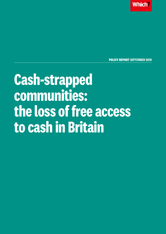**Which** 

**POLICY REPORT SEPTEMBER 2019**

# **Cash-strapped communities: the loss of free access to cash in Britain**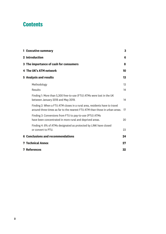# **Contents**

| <b>1 Executive summary</b>                                                                                                                                | 3  |
|-----------------------------------------------------------------------------------------------------------------------------------------------------------|----|
| 2 Introduction                                                                                                                                            | 6  |
| 3 The importance of cash for consumers                                                                                                                    | 8  |
| 4 The UK's ATM network                                                                                                                                    | 10 |
| <b>5 Analysis and results</b>                                                                                                                             | 13 |
| Methodology                                                                                                                                               | 13 |
| Results                                                                                                                                                   | 14 |
| Finding 1: More than 5,300 free-to-use (FTU) ATMs were lost in the UK<br>between January 2018 and May 2019.                                               | 14 |
| Finding 2: When a FTU ATM closes in a rural area, residents have to travel<br>around three times as far to the nearest FTU ATM than those in urban areas. | 17 |
| Finding 3: Conversions from FTU to pay-to-use (PTU) ATMs<br>have been concentrated in more rural and deprived areas.                                      | 20 |
| Finding 4: 8% of ATMs designated as protected by LINK have closed<br>or convert to PTU.                                                                   | 23 |
| <b>6 Conclusions and recommendations</b>                                                                                                                  | 24 |
| <b>7 Technical Annex</b>                                                                                                                                  | 27 |
| <b>7 References</b>                                                                                                                                       | 32 |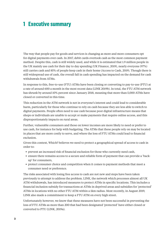# **1 Executive summary**

The way that people pay for goods and services is changing as more and more consumers opt for digital payments over cash. In 2017, debit cards overtook cash as the most common payment method. Despite this, cash is still widely used, and while it is estimated that 1.9 million people in the UK mainly use cash for their day to day spending (UK Finance, 2019), nearly everyone (97%) still carries cash and 85% of people keep cash in their home (Access to Cash, 2019). Though there is still widespread use of cash, the overall fall in cash spending has impacted on the demand for cash withdrawals from ATMs.

In response to this, free-to-use (FTU) ATMs have been closing or converting to pay-to-use (PTU) at a rate of around 600 a month in the most recent data (LINK 2019b). In total, the FTU ATM network has shrunk by around 10% percent since January 2018, meaning that more than 5,000 ATMs have closed or converted in this time.

This reduction in the ATM network is not in everyone's interest and could lead to considerable harm, particularly for those who continue to rely on cash because they are less able to switch to digital payments. People often need to use cash because poor digital infrastructure means that shops or individuals are unable to accept or make payments that require online access, and this disproportionately impacts on rural areas.

Further, vulnerable consumers and those on lower incomes are more likely to need or prefer to use cash, for instance for help with budgeting. The ATMs that these people rely on may be located in places that are more costly to serve, and where the loss of FTU ATMs could lead to financial exclusion.

Given this context, Which? believes we need to protect a geographical spread of access to cash in order to:

- **•** prevent an increased risk of financial exclusion for those who currently need cash,
- **•** ensure there remains access to a secure and reliable form of payment that can provide a 'backup' for consumers,
- **•** protect consumer choice and competition when it comes to payment methods that meet a consumer need or preference.

The risks associated with losing free access to cash are not new and steps have been taken previously to attempt to address the problem. LINK, the network which processes almost all UK ATM withdrawals, has introduced measures to protect ATMs in specific locations. This includes a financial inclusion subsidy for transactions at ATMs in deprived areas and subsidies for 'protected' ATMs in locations with no other FTU ATM within a 1km radius. Most recently, in August 2019, LINK also made a commitment to keep a FTU ATM on every high street.

Unfortunately however, we know that these measures have not been successful in preventing the loss of FTU ATMs as more than 200 that had been designated 'protected' have either closed or converted to PTU (LINK, 2019a).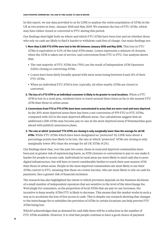In this report, we use data provided to us by LINK to analyse the entire population of ATMs in the UK at two points in time, January 2018 and May 2019. We examine the loss of FTU ATMs, which may have either closed or converted to PTU during this period.

Our findings shed light both on where and which FTU ATMs have been lost and on whether those who rely on cash are likely to find it harder to withdraw cash free of charge. Our main findings are:

- **1. More than 5,300 FTU ATMs were lost in the UK between January 2018 and May 2019.** This loss in FTU ATMs is equivalent to 9.2% of the total ATM estate. Losses represents a mixture of closures, when the ATM is taken out of service, and conversions from FTU to PTU. Our analysis shows that:
	- **•** The vast majority of FTU ATMs lost (70%) are the result of Independent ATM Operators (IADs) closing or converting ATMs.
	- **•** Losses have been fairly broadly spread with most areas losing between 8 and 11% of their FTU ATMs.
	- **•** When an individual FTU ATM is lost, typically, all other nearby ATMs are closed or converted.
- **2. The loss of a FTU ATM to an individual consumer is likely to be greater in rural locations.** When a FTU ATM is lost in a rural area, residents have to travel around three times as far to the nearest FTU ATM than those in urban areas.
- **3. Conversions from FTU to PTU ATMs have been concentrated in areas that are more rural and more deprived.**  In the 20% most deprived areas there has been a net conversion of 979 FTU to PTU ATMs, compared with 223 in the least deprived affluent areas. Our calculations suggest that an additional 1,500 ATMs may become pay-to-use in the most deprived areas if Notemachine goes ahead with publicly announces plans.
- **4. The rate at which 'protected' FTU ATMs are closing is only marginally lower than the average for all UK ATMs.** While FTU ATMs which have been designated as 'protected' by LINK were about 4 percentage points less likely to be lost, the rate at which 'protected' ATMs are closing is only marginally lower (8%) than the average for all UK ATMs (9.2%).

Our findings show that, over the past two years, those in rural and deprived communities have been put at greater risk of experiencing harm, as ATM closures or conversions to pay-to-use make it harder for people to access cash. Individuals in rural areas are more likely to need cash due to poor digital infrastructure, but will have to travel considerably further to reach their next nearest ATM than those in urban areas. People in the most deprived communities are most likely to see their ATMs convert to PTU, meaning that those on a lower income, who are more likely to rely on cash for payments, face a greater risk of financial exclusion.

The research has also highlighted the extent to which provision depends on the business decisions of a small number of independent operators that are sensitive to the level of the interchange fee. Worryingly for consumers, as the proportion of local ATMs that are pay-to-use increases, the incentive to keep nearby ATMs FTU is likely to decrease. This means that the market works in such a way as to accelerate the loss of free access to cash. This is despite our research showing that changes to the interchange fee to subsidise the provision of ATMs in certain locations can help prevent FTU ATMs being lost.

Which? acknowledges that as demand for cash falls there will be a reduction in the number of FTU ATMs available. However, it is vital that people continue to have a good choice of payment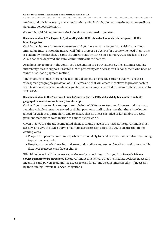method and this is necessary to ensure that those who find it harder to make the transition to digital payments do not suffer harm.

Given this, Which? recommends the following actions need to be taken:

# **Recommendation 1: The Payments Systems Regulator (PSR) should act immediately to regulate UK ATM interchange fees.**

Cash has a vital role for many consumers and yet there remains a significant risk that without immediate intervention the market will fail to protect FTU ATMs for people who need them. This is evident by the fact that, despite the efforts made by LINK since January 2018, the loss of FTU ATMs has seen deprived and rural communities hit the hardest.

As a first step, to prevent the continued acceleration of FTU ATM losses, the PSR must regulate interchange fees to support its stated aim of protecting cash access for UK consumers who need or want to use it as a payment method.

The structure of such interchange fees should depend on objective criteria that will ensure a widespread geographic provision of FTU ATMs and that will create incentives to provide cash in remote or low income areas where a greater incentive may be needed to ensure sufficient access to FTU ATMs.

# **Recommendation 2: The government must legislate to give the PSR a defined duty to maintain a suitable geographic spread of access to cash, free of charge.**

Cash will continue to play an important role in the UK for years to come. It is essential that cash remains a viable alternative to card or digital payments until such a time that there is no longer a need for cash. It is particularly vital to ensure that no one is excluded or left unable to access payment methods as we transition to a more digital world.

Given that we are already seeing rapid changes taking place in the market, the government must act now and give the PSR a duty to maintain access to cash across the UK to ensure that in the coming years:

- **•** People in deprived communities, who are more likely to need cash, are not penalised by having to pay to access cash.
- **•** People, particularly those in rural areas and small towns, are not forced to travel unreasonable distances to access cash free of charge.

Which? believes it will be necessary, as the market continues to change, for **a form of minimum service guarantee to be introduced**. The government must ensure that the PSR has both the necessary incentives and powers to guarantee access to cash for as long as consumers need it - if necessary by introducing Universal Service Obligations.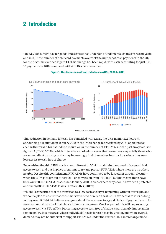# **2 Introduction**

The way consumers pay for goods and services has undergone fundamental change in recent years and in 2017 the number of debit card payments overtook the number of cash payments in the UK for the first time ever, see Figure 1.1. This change has been rapid, with cash accounting for just 3 in 10 payments in 2018, compared with 6 in 10 a decade earlier.



#### **Figure 1: The decline in cash and reduction in ATMs, 2008 to 2018**

Source: UK Finance and LINK

This reduction in demand for cash has coincided with LINK, the UK's main ATM network, announcing a reduction in January 2018 in the interchange fee received by ATM operators for each withdrawal. This has led to a reduction in the number of FTU ATMs in the past two years, see figure 1.2 (LINK, 2019b), which in turn has sparked concerns that consumers - especially those who are more reliant on using cash - may increasingly find themselves in situations where they may lose access to cash free of charge.

Recognising the risk, LINK made a commitment in 2018 to maintain the spread of geographical access to cash and put in place premiums to try and protect FTU ATMs where there are no others nearby. Despite this commitment, FTU ATMs have continued to be lost either through closure – when the ATM is taken out of service – or conversion from FTU to PTU. This means there have been over 200 FTU ATM losses since January 2018 in areas where they should have been protected and over 5,000 FTU ATMs losses in total (LINK, 2019a).

Which? is concerned that the transition to a low cash society is happening without oversight, and without a plan to ensure that consumers who need or rely on cash still have access to it for as long as they need it. Which? believes everyone should have access to a good choice of payments, and for now cash remains part of that choice for most consumers. One key part of this will be protecting access to cash via FTU ATMs. Protecting access to cash free of charge is particularly important in remote or low income areas where individuals' needs for cash may be greater, but where overall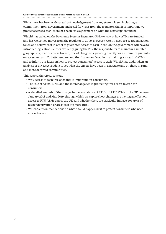**cash-strapped communities: the loss of free access to cash in britain** 

While there has been widespread acknowledgement from key stakeholders, including a commitment from government and a call for views from the regulator, that it is important we protect access to cash, there has been little agreement on what the next steps should be.

Which? has called on the Payments Systems Regulator (PSR) to look at how ATMs are funded and has welcomed moves from the regulator to do so. However, we still need to see urgent action taken and believe that in order to guarantee access to cash in the UK the government will have to introduce legislation – either explicitly giving the PSR the responsibility to maintain a suitable geographic spread of access to cash, free of charge or legislating directly for a minimum guarantee on access to cash. To better understand the challenges faced in maintaining a spread of ATMs and to inform our ideas on how to protect consumers' access to cash, Which? has undertaken an analysis of LINK's ATM data to see what the effects have been in aggregate and on those in rural and more deprived communities.

This report, therefore, sets out:

- **•** Why access to cash free of charge is important for consumers.
- **•** The role of ATMs, LINK and the interchange fee in protecting free access to cash for consumers.
- **•** A detailed analysis of the change in the availability of FTU and PTU ATMs in the UK between January 2018 and May 2019, through which we explore how changes are having an effect on access to FTU ATMs across the UK, and whether there are particular impacts for areas of higher deprivation or areas that are more rural.
- **•** Which?'s recommendations on what should happen next to protect consumers who need access to cash.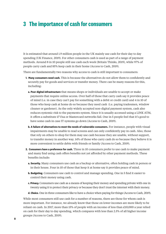# **3 The importance of cash for consumers**

It is estimated that around 1.9 million people in the UK mainly use cash for their day to day spending (UK Finance, 2019). For other consumers cash is used as part of a range of payment methods. Around 8 in 10 people still use cash each week (Britain Thinks, 2019), while 97% of people carry cash and 85% keep cash in their home (Access to Cash, 2019).

There are fundamentally two reasons why access to cash is still important to consumers:

- **1. Many consumers need cash.** This is because the alternatives do not allow them to confidently and securely pay for goods and services or transfer money. There can be many reasons for this, including:
	- **a. Poor digital infrastructure** that means shops or individuals are unable to accept or make payments that require online access. Over half of those that carry cash say it provides peace of mind (i.e. in case they can't pay for something with a debit or credit card) and 4 in 10 of those who keep cash at home do so because they need cash (i.e. paying tradesmen, window cleaner or gardener). As the only widely accepted non-digital payment system, cash also reduces systemic risk to the payments system. Since it is usually accessed using a LINK ATM, it offers a substitute if Visa or Mastercard networks fail. One in 5 people feel that it's good to have some cash in case IT systems go down (Access to Cash, 2019).
	- **b. A failure of alternatives to meet the needs of vulnerable consumers.** For instance, people with visual impairments may be unable to read screens and can only confidently pay in cash. Also, those that rely on others to shop for them may use cash because they are unable, without support, to transfer money in another way. 14% of those who carry cash do so because they believe it is more convenient to settle debts with friends or family (Access to Cash, 2019).
- **2. Consumers have a preference for cash.** Three in 10 consumers prefer to use cash to make payment and many find using cash offers benefits not yet afforded by other payment methods. These benefits include:
	- **a. Security.** Many consumers use cash as a backup or alternative, often holding cash in person or in their house. Four in 10 of those that keep it at home say it provides peace of mind.
	- **b. Budgeting.** Consumers use cash to control and manage spending. One in 5 find it easier to control their money using cash.
	- **c. Privacy.** Consumers use cash as a means of keeping their money and spending private with one in twenty using it to protect their privacy or because they don't trust the internet with their money.
	- **d. Choice.** One in three consumers like to have a choice when paying for things (Access to Cash, 2019).

While most consumers still use cash for a number of reasons, there are those for whom cash is more important. For instance, we already know that those on lower incomes are more likely to be reliant on cash. In 2017, more than 15% of people with an income of less than £10,000 a year relied on cash for their day to day spending, which compares with less than 2.5% of all higher income groups (Access to Cash, 2019).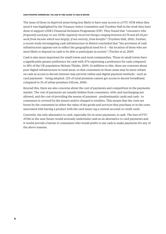**cash-strapped communities: the loss of free access to cash in britain** 

The issue of those in deprived areas being less likely to have easy access to a FTU ATM when they need it was highlighted by the Treasury Select Committee and Toynbee Hall in the work they have done to support LINK's Financial Inclusion Programme (FIP). They found that *"consumers who frequently used pay-to-use ATMs regularly incurred charges ranging between £3.70 and £9.25 per week from income which was largely, if not entirely, from benefits"* (Toynbee Hall, 2015). Further, a recent study investigating cash infrastructure in Bristol concluded that "the provision of cash infrastructure appears not to reflect the geographical need for it – the location of those who are most likely to depend on cash to be able to participate in society" (Tischer et al, 2019)

Cash is also more important for small towns and rural communities. Those in small towns have a significantly greater preference for cash with 37% expressing a preference for cash compared to 28% of the UK population (Britain Thinks, 2019). In addition to this, there are concerns about poor digital infrastructure in rural areas, so that consumers in those areas may be more reliant on cash as access to decent internet may prevent online and digital payment methods - such as card payments - being adopted. 12% of rural premises cannot get access to decent broadband, compared to 1% of urban premises (Ofcom, 2018).

Beyond this, there are also concerns about the cost of payments and competition in the payments market. The cost of payments are usually hidden from consumers, with card surcharging not allowed, and the cost of providing the means of payment - predominantly cards and cash - to consumers is covered by the issuers and/or charged to retailers. This means that the costs are borne by the consumers in either the value of the goods and services they purchase or in the costs associated with having a product with the card issuer (eg a current account or credit card).

Currently, the only alternative to card, especially for in-store payments, is cash. The loss of FTU ATMs in the near future would seriously undermine cash as an alternative to card payments and it would provide a barrier to consumers who would prefer to use cash to make payments for any of the above reasons.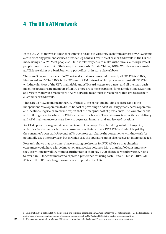# **4 The UK's ATM network**

In the UK, ATM networks allow consumers to be able to withdraw cash from almost any ATM using a card from any payment services provider (eg banks). Over 90% of cash withdrawals in the UK are made using an ATM. Most people still find it relatively easy to make withdrawals, although 16% of people have to travel out of their way to access cash (Britain Thinks, 2019). Withdrawals not made at ATMs are either at a bank branch, a post office, or in store via cashback.

There are 3 major providers of ATM networks that are connected to nearly all UK ATMs - LINK, Mastercard and VISA. LINK is the UK's main ATM network which processes almost all UK ATM withdrawals. Most of the UK's main debit and ATM card issuers (eg banks) and all the main cash machine operators are members of LINK. There are some exceptions, for example Monzo, Starling and Virgin Money use Mastercard's ATM network, meaning it is Mastercard that processes their customers' withdrawals.

There are 32 ATM operators in the UK. Of these 21 are banks and building societies and 11 are independent ATM operators (IADs).<sup>1</sup> The cost of providing an ATM will vary greatly across operators and locations. Typically, we would expect that the marginal cost of provision will be lower for banks and building societies when the ATM is attached to a branch. The costs associated with cash delivery and ATM maintenance costs are likely to be greater in more rural and isolated locations.

An ATM operator can generate revenue in one of two ways. First, by taking an interchange fee, which is a fee charged each time a consumer uses their card at a FTU ATM and which is paid by the consumer's own bank.<sup>2</sup> Second, ATM operators can charge the consumer to withdraw cash (or potentially use other services), but in which case the operator cannot also receive an interchange fee.

Research shows that consumers have a strong preference for FTU ATMs so that charging consumers could have a large impact on transaction volumes. More than half of consumers say they are willing to walk 10 minutes further rather than pay a 20p charge to withdraw cash, rising to over 6 in 10 for consumers who express a preference for using cash (Britain Thinks, 2019). All ATMs in the UK that charge consumers are operated by IADs.

<sup>1</sup> This is taken from data on LINK's membership and so it does not include any ATM operators who are not members of LINK. It is calculated on the basis of separate banking brands of the same company, such as NatWest and RBS, being treated as separate entities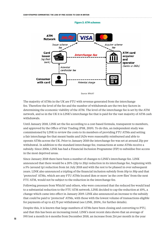#### **Figure 2: ATM schemes**



Source: Which?

The majority of ATMs in the UK are FTU with revenue generated from the interchange fee. Therefore the level of the fee and the number of withdrawals are the two key factors in determining the economic viability of the ATM. The level of the interchange fee is set by the ATM network, and so in the UK it is LINK's interchange fee that is paid for the vast majority of ATM cash withdrawals.

Until January 2018, LINK set the fee according to a cost-based formula, transparent to members, and approved by the Office of Fair Trading (PSR, 2019). To do this, an independent study was commissioned by LINK to review the costs to its members of providing FTU ATMs and setting a fair interchange fee that meant banks and IADs were reasonably reimbursed and able to operate ATMs across the UK. Prior to January 2018 the interchange fee was set at around 25p per withdrawal. In addition to the standard interchange fee, transactions at some ATMs receive a subsidy. Since 2006, LINK has had a Financial Inclusion Programme (FIP) to subsidise free access in the most deprived areas.

Since January 2018 there have been a number of changes to LINK's interchange fee. LINK announced that there would be a 20% (25p to 20p) reduction in its interchange fee, beginning with a 5% (around 1p) reduction from 1st July 2018 and with the rest to be phased in over subsequent years. LINK also announced a tripling of the financial inclusion subsidy from 10p to 30p and that 'protected' ATMs, which are any FTU ATMs located 1km or more 'as the crow flies' from the next FTU ATM, would not be subject to the reduction in the interchange fee.

Following pressure from Which? and others, who were concerned that the reduced fee would lead to a substantial reduction to the FTU ATM network, LINK decided to cap the reduction at 10%, a change which came into effect in January 2019. LINK also announced an increase to the subsidy that could be paid to 'protected' ATMs, with those with the lowest volume of transactions eligible for payments of up to £2.75 per withdrawal (see LINK, 2019c, for further details).

Despite this, it is known that large numbers of ATMs have been closing and converting to PTU, and that this has been an increasing trend. LINK's most recent data shows that an average of 595 lost a month in 6 months from December 2018, an increase from 214 per month in the year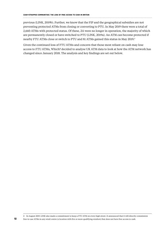previous (LINK, 2019b). Further, we know that the FIP and the geographical subsidies are not preventing protected ATMs from closing or converting to PTU. In May 2019 there were a total of 2,660 ATMs with protected status. Of these, 211 were no longer in operation, the majority of which are permanently closed or have switched to PTU (LINK, 2019a). An ATM can become protected if nearby FTU ATMs close or switch to PTU and 81 ATMs gained this status in May 2019.3

Given the continued loss of FTU ATMs and concern that those most reliant on cash may lose access to FTU ATMs, Which? decided to analyse UK ATM data to look at how the ATM network has changed since January 2018. The analysis and key findings are set out below.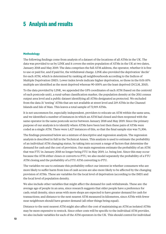# **5 Analysis and results**

### **Methodology**

The following findings come from analysis of a dataset of the locations of all ATMs in the UK. The data was provided to us by LINK and it covers the entire population of ATMs in the UK at two dates, January 2018 and May 2019. The data comprises the full ATM address, the operator, whether it is free to use or paid for, and if paid for, the withdrawal charge. LINK also provided the deprivation 'decile' for each ATM, which is determined by ranking all neighbourhoods according to the Indices of Multiple Deprivation (IMD). Lower index levels indicate higher deprivation, so those in the 0.01-10% multiple are identified as the most deprived whereas 90-100% are the least deprived (DCLM, 2015).

To the data provided by LINK, we appended the GPS coordinates of each ATM (based on the centroid of each postcode unit), a rural-urban classification marker, the population density at the 2011 census output area level and a public dataset identifying all ATMs designated as protected. We excluded from the data 31 'testing' ATMs that are not available at street level and 219 ATMs in the Channel Islands and Isle of Man. This leaves a total sample of 72,919 ATMs.

It is not uncommon for, especially independent, providers to relocate an ATM within the same area, and we identified a number of instances in which an ATM had closed and then reopened with the same operator in the same postcode sector between January 2018 and May 2019. Since the primary purpose of our analysis is to identify where ATMs have been lost then these pairs of ATMs were coded as a single ATM. There were 1,427 instances of this, so that the final sample size was 71,306.

The findings presented below are a mixture of descriptive and regression analysis. The regression analysis is described in full in the Technical Annex. This analysis is used to estimate the probability of an individual ATM changing status, by taking into account a range of factors that determine the demand for cash and the cost of provision. Our main regressions estimate the probability of an ATM that was FTU in January 2018 no longer being FTU in May 2019, i.e. being lost. Since this may occur because the ATM either closes or converts to PTU, we also model separately the probability of a FTU ATM closing and the probability of a FTU ATM converting to PTU.

The variables we use to estimate this probability reflect our interest in whether consumers who are more likely to suffer harm from loss of cash access are also more likely to be affected by the changing provision of ATMs. These are variables for the local level of deprivation (according to the IMD) and the local level of population density.

We also include other variables that might affect the demand for cash withdrawals. These are: the average age of people in an area, since research suggests that older people have a preference for cash; retail density, since areas with more shops are expected to have greater demand for cash for transactions; and distance to the next nearest ATM measured in kilometres, since ATMs with fewer near neighbours should have greater demand (all other things being equal).

Distance to the next nearest ATM might also affect the cost of maintaining an ATM as isolated ATMs may be more expensive to restock. Since other costs will be specific to the individual ATM provider, we also include variables for each of the ATM operators in the UK. This should control for individual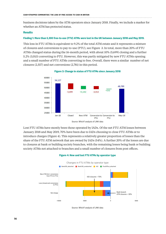**cash-strapped communities: the loss of free access to cash in britain** 

business decisions taken by the ATM operators since January 2018. Finally, we include a marker for whether an ATM has protected status.

### **Results**

### **Finding 1: More than 5,300 free-to-use (FTU) ATMs were lost in the UK between January 2018 and May 2019.**

This loss in FTU ATMs is equivalent to 9.2% of the total ATM estate and it represents a mixture of closures and conversions to pay-to-use (PTU), see Figure 3. In total, more than 20% of FTU ATMs changed status during the 16-month period, with about 10% (5,699) closing and a further 5.2% (3,013) converting to PTU. However, this was partly mitigated by new FTU ATMs opening and a small number of PTU ATMs converting to free. Overall, there were a similar number of net closures (2,557) and net conversions (2,781) in this period.





Lost FTU ATMs have mostly been those operated by IADs. Of the net FTU ATM losses between January 2018 and May 2019, 70% have been due to IADs choosing to close FTU ATMs or to introduce charges (Figure 4). This represents a relatively greater proportion of losses than the share of the FTU ATM network that are owned by IADs (54%). A further 20% of the losses are due to closures at bank or building society branches, with the remaining losses being bank or building society ATMs not attached to branches and a small number of closures from post offices.

### **Figure 4: New and lost FTU ATMs by operator type**



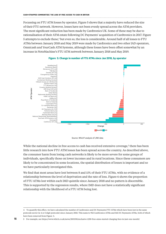**cash-strapped communities: the loss of free access to cash in britain** 

Focussing on FTU ATM losses by operator, Figure 5 shows that a majority have reduced the size of their FTU network. However, losses have not been evenly spread across the ATM providers. The most significant reduction has been made by Cardtronics UK. Some of these may be due to rationalisation of their ATM estate following DC Payments' acquisition of Cardtronics in 2017. Figure 5 attempts to exclude these,<sup>4</sup> but even so, the loss is considerable. Around half of all losses to FTU ATMs between January 2018 and May 2019 were made by Cardtronics and two other IAD operators, Omnicash and YourCash ATM Systems, although these losses have been offset somewhat by an increase in NoteMachine's FTU ATM network between January 2018 and May 2019.



### **Figure 5: Change in number of FTU ATMs since Jan 2018, by operator**

Source: Which? analysis of LINK data

While the national decline in free access to cash has received extensive coverage,<sup>5</sup> there has been little research into how FTU ATM losses has been spread across the country. As described above, the consumer harm from losing cash networks is likely to be more severe for some groups of individuals, specifically those on lower incomes and in rural locations. Since these consumers are likely to be concentrated in some locations, the spatial distribution of losses is important and so we have particularly investigated this.

We find that most areas have lost between 8 and 11% of their FTU ATMs, with no evidence of a relationship between the level of deprivation and the rate of loss. Figure 6 shows the proportion of FTU ATMs lost within each IMD quintile since January 2018 and no pattern is discernible. This is supported by the regression results, where IMD does not have a statistically significant relationship with the likelihood of a FTU ATM being lost.

<sup>4</sup> To quantify this effect, we have calculated the number of Cardtronics and DC Payments FTU ATMs which have been lost in the same postcode sector (ie 4 or 5 digit postcode) since January 2018. This sums to 952 Cardtronics ATMs and 565 DC Payments ATMs, both of which have been removed from Figure 5.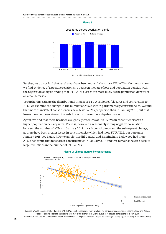#### 





Further, we do not find that rural areas have been more likely to lose FTU ATMs. On the contrary, we find evidence of a positive relationship between the rate of loss and population density, with the regression analysis finding that FTU ATMs losses are more likely as the population density of an area increases.

To further investigate the distributional impact of FTU ATM losses (closures and conversions to PTU) we examine the change in the number of ATMs within parliamentary constituencies. We find that more than 95% of constituencies have fewer ATMs per person than in January 2018, but that losses have not been skewed towards lower income or more deprived areas.

Again, we find that there has been a slightly greater loss of FTU ATMs in constituencies with higher population density rates. There is, however, a reasonably strong negative correlation between the number of ATMs in January 2018 in each constituency and the subsequent change, as there have been greater losses in constituencies which had more FTU ATMs per person in January 2018, see Figure 7. For example, Cardiff Central and Birmingham Ladywood had more ATMs per capita that most other constituencies in January 2018 and this remains the case despite large reductions in the number of FTU ATMs.

#### **Figure 7: Change in ATMs by constituency**





Sources: Which? analysis of LINK data and ONS 2017 population estimates (only available for parliamentary constituencies in England and Wales). Note due to data cleaning, the results here may differ slightly with LINK's public ATM data on constituencies in May 2019. Note: Chart excludes the Cities of London and Westminster, as the prevalence of ATMs per person is significantly higher than any other constituency

Source: Which? analysis of LINK data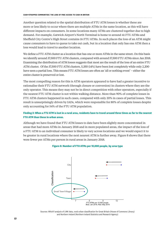**cash-strapped communities: the loss of free access to cash in britain** 

Another question related to the spatial distribution of FTU ATM losses is whether these are more or less likely to occur where there are multiple ATMs in the same location, as this will have different impacts on consumers. In some locations many ATMs are clustered together due to high demand. For example, Gatwick Airport's North Terminal is home to around 41 FTU ATMs and Sheffield City Centre's High Street contains 16 FTU ATMs. In such places the loss of an ATM might cause consumers to have to queue to take out cash, but in a location that only has one ATM then a loss would lead to travel to another location.

We define a FTU ATM cluster as a location that has one or more ATMs in the same street. On this basis we identify around 37,500 FTU ATM clusters, compared with around 57,500 FTU ATMs since Jan 2018. Examining the distribution of ATM losses suggests that most are the result of the loss of an entire FTU ATM cluster. Of the 37,500 FTU ATM clusters, 5,350 (14%) have been lost completely while only 2,200 have seen a partial loss. This means FTU ATM losses are often an 'all or nothing event' – either the entire cluster is preserved or lost.

The most compelling reason for this is ATM operators appeared to have had a greater incentive to rationalise their FTU ATM network (through closure or conversion) in clusters where they are the only operator. This means they may not be in direct competition with other operators, especially if the nearest FTU ATM cluster is not within walking distance. More than 90% of complete losses in FTU ATM clusters happened in such cases, compared with only 20% in cases of partial losses. This result is unsurprisingly driven by IADs, which were responsible for 80% of complete losses despite only accounting for 54% of the FTU ATM population.

# **Finding 2: When a FTU ATM is lost in a rural area, residents have to travel around three times as far to the nearest FTU ATM than those in urban areas.**

Although we have found that FTU ATM losses to date have been slightly more concentrated in areas that had more ATMs in January 2018 and in more populated areas, the impact of the loss of a FTU ATM to an individual consumer is likely to vary across locations and we would expect it to be greater in rural locations where the next nearest ATM is further away. Figure 8 shows that there were fewer per ATMs per person in rural areas in January 2018.



### **Figure 8: Number of FTU ATMs per 10,000 people, by area type**

Sources: Which? analysis of LINK data, rural-urban classification for Great Britain (House of Commons Library) and Northern Ireland (Northern Ireland Statistics and Research Agency)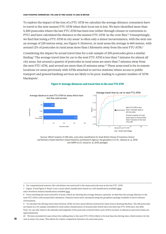To explore the impact of the loss of a FTU ATM we calculate the average distance consumers have to travel to the next nearest FTU ATM when their local one is lost. We have identified more than 5,200 postcodes where the last FTU ATM has been lost (either through closure or conversion to PTU) and have calculated the distance to the nearest FTU ATM 'as the crow flies'.<sup>6</sup> Unsurprisingly, we find that losing a FTU ATM in city areas<sup>7</sup> is often only a minor inconvenience, with the next one an average of 220 metres away, see Figure 9. However, in rural areas the average is 660 metres, with around 12% of postcodes in rural areas more than 1 kilometre away from the next FTU ATM.8

Considering the impact by actual travel time for a sub-sample of 250 postcodes gives a similar finding.9 The average travel time by car to the next FTU ATM is less than 7 minutes for almost all city areas, but around a quarter of postcodes in rural areas are more than 7 minutes away from the next FTU ATM, and several are more than 15 minutes away.10 These areas tend to be in remote locations (or areas previously with ATMs attached to service stations) where access to public transport and general banking services are likely to be poor, leading to a greater number of 'ATM blackspots'.



#### **Figure 9: Average distances and travel time to the next FTU ATM**

Sources: Which? analysis of LINK data, rural-urban classification for Great Britain (House of Commons Library) and Northern Ireland (Northern Ireland Statistics and Research Agency), the geosphere (v1.5-10 , Hijmans et. al, 2019) and OSRM (v3.3.1, Giraud et. al, 2019) packages

6 For computational reasons, this calculation was restricted to the same postcode area as the lost FTU ATM

7 Figure 8 and Figure 9, Panel A use a rural-urban classification based on a GB classification available [here](https://researchbriefings.parliament.uk/ResearchBriefing/Summary/CBP-8322):

9 To calculate the driving travel time between ATMs we have used software powered by [Open Source Routing Machine.](https://cran.r-project.org/web/packages/osrm/index.html) The 250 postcodes are based on a 5% sample (stratified by rural-urban classification) of all postcodes which have lost their last FTU ATM since Jan 2018. Note, we can only observe the latitude and longitude of the postcode centroid where each ATM is located, so distances and travel times are approximations.

10 We have excluded 65 cases where the walking time to the next FTU ATM is likely to be less than the driving time, which tends to be the case in inner city areas. This allows for a fairer comparison between city and rural areas.

and a Northern Ireland classification available [here](https://www.nisra.gov.uk/publications/urban-rural-geography-documents-2015)

<sup>8</sup> Even excluding the most rural 10% of areas, which are skewing the average distance upwards, we find that the average distance to the next FTU ATM is still around half a kilometre. Distances have been calculated using the [geosphere package](https://cran.r-project.org/web/packages/geosphere/geosphere.pdf) available in the R software environment.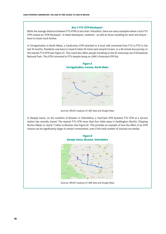#### **Box 1: FTU 'ATM blackspots'**

While the average distance between FTU ATMs is less than 1 kilometre, there are many examples where a lost FTU ATM creates an 'ATM blackspot'. In these blackspots, residents - as well as those travelling for work and leisure have to travel much further.

In Cerrigydrudion in North Wales, a Cardtronics ATM attached to a local café converted from FTU to PTU in the last 18 months. Residents now have to travel 8 miles (15 mins) east toward Corwen, or a 40 minute bus journey, to the nearest FTU ATM (see Figure A). This could also affect people travelling on the A5 motorway out of Snowdonia National Park. This ATM converted to PTU despite being on LINK's Protected ATM list.



**Figure A Cerrigydrudion, Corwen, North Wales**

In Steeple Aston, on the outskirts of Bicester in Oxfordshire, a YourCash ATM Systems FTU ATM at a service station has recently closed. The nearest FTU ATM more than four miles away in Deddington (North), Chipping Norton (West) or nearly 7 miles to Bicester (see Figure B). This provides an example of how the effect of an ATM closure can be significantly larger in certain communities, even if the total number of closures are similar.



Sources: Which? analysis of LINK data and Google Maps

Sources: Which? analysis of LINK data and Google Maps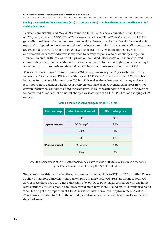# **Finding 3: Conversions from free-to-use (FTU) to pay-to-use (PTU) ATMs have been concentrated in more rural and deprived areas.**

Between January 2018 and May 2019, around 2,780 FTU ATMs have converted (in net terms) to PTU, compared with 2,560 FTU ATM closures (net of new FTU ATMs). Conversion to PTU is generally considered a better outcome than outright closure, but the likelihood of conversion is expected to depend on the characteristics of the local community. As discussed earlier, consumers are prepared to travel further to a FTU ATM than use a PTU ATM in the immediate vicinity and demand for cash withdrawals is expected to be very responsive to price charges in general. However, in areas with little or no FTU provision, so-called 'blackspots', or in more deprived communities where car ownership is lower and a preference for cash is higher, consumers may be forced to pay to access cash and demand will fall less in response to a conversion to PTU.

ATMs which have converted since January 2018 charge an average of £1 per withdrawal, This means that for an average ATM cash withdrawal of £45 the effective fee is about 2.2%, but this increases for smaller withdrawals, see Table 1. This makes these fees potentially regressive and it is important to consider whether ATM conversions have been concentrated in areas in which consumers may be less able to afford these charges. It is also worth noting that while the average for converted ATMs is £1, the amount charged varies widely, with 1 in 8 PTU ATMs charging £1.99 or more.

| <b>Fixed rate charge</b> | Value of a cash withdrawal | <b>Effective charge rate</b> |  |  |
|--------------------------|----------------------------|------------------------------|--|--|
|                          | £10                        | 10%                          |  |  |
| £1 per withdrawal        | £45 (average)              | 2.2%                         |  |  |
|                          | £100                       | $1\%$                        |  |  |
|                          | £10                        | 20%                          |  |  |
| £2 per withdrawal        | £45 (average)              | 4.4%                         |  |  |
|                          | £100                       | 2%                           |  |  |

### **Table 1: Example effective charge rates at PTU ATMs**

Note: The average value of an ATM withdrawal was calculated by dividing the total value of cash withdrawals by the total volume in the week ending 11th August (LINK, 2019b)

We can examine this by splitting the gross number of conversions to PTU by IMD quintiles. Figure 10 shows that more conversions have taken place in more deprived areas. In the most deprived 20% of areas there has been a net conversion of 979 FTU to PTU ATMs, compared with 223 in the least deprived affluent areas. Although deprived areas have more FTU ATMs, this result also holds when looking at the proportion of FTU ATMs which have converted. Approximately 6% of FTU ATMs have converted to PTU in the most deprived areas compared with less than 4% in the least deprived areas.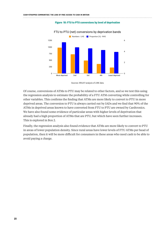#### 

# 0 250 500 750 1000 1250 0 2  $\overline{A}$ 6 Most deprived 2nd 3rd 4th Least deprived **Numbers - LHS** Proportion (%) - RHS

### FTU to PTU (net) conversions by deprivation bands

**Figure 10: FTU to PTU conversions by level of deprivation** 

Sources: Which? analysis of LINK data

Of course, conversions of ATMs to PTU may be related to other factors, and so we test this using the regression analysis to estimate the probability of a FTU ATM converting while controlling for other variables. This confirms the finding that ATMs are more likely to convert to PTU in more deprived areas. The conversion to PTU is always carried out by IADs and we find that 90% of the ATMs in deprived areas known to have converted from FTU to PTU are owned by Cardtronics. We have also found some evidence of particular areas with higher levels of deprivation that already had a high proportion of ATMs that are PTU, but which have seen further increases. This is explored in Box 2.

Finally, the regression analysis also found evidence that ATMs are more likely to convert to PTU in areas of lower population density. Since rural areas have lower levels of FTU ATMs per head of population, then it will be more difficult for consumers in these areas who need cash to be able to avoid paying a charge.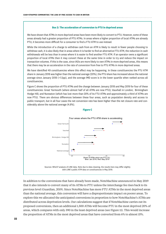#### **Box 2: The acceleration of conversion to PTU in deprived areas**

We have shown that ATMs in more deprived areas have been more likely to convert to PTU. However, some of these areas already had a greater proportion of PTU ATMs. In areas where a higher proportion of local ATMs are already PTU, it becomes more difficult for a consumer to find a FTU ATM to use instead.

While the introduction of a charge to withdraw cash from an ATM is likely to result in fewer people choosing to withdraw cash, it is also likely that in areas where it is harder to find an alternative FTU ATM, the reduction in cash withdrawals will be less than in areas where it is easier to find another FTU ATM. If an operator owns a significant proportion of local ATMs then it may convert these at the same time in order to try and reduce the impact on transaction volumes. If this is the case, since IADs are more likely to own ATMs in more deprived areas, this means that there may be an acceleration in the rate of conversion from free to PTU ATMs in more deprived areas.

We have identified 49 constituencies where this effect may be happening. In these constituencies the PTU ATM share in January 2018 was higher than the national average (20%), the PTU share has increased above the national average since January 2018 (+1.5pp), and the average IMD score is in the lower quartile when ranked across all constituencies.

Figure C shows the proportion of PTU ATMs and the change between January 2018 and May 2019 for four of these constituencies: Great Yarmouth (where almost half of all ATMs are now PTU); Vauxhall in London; Birmingham Hodge Hill; and Nuneaton (which has lost more than 20% of its FTU ATMs and approximately a third of ATMs are now PTU). There are obvious differences between these four areas, such as population density and access to public transport, but in all four cases the net conversion rate has been higher than the net closure rate and considerably above the national average (4.8%).



In addition to the conversions that have already been made, NoteMachine announced in May 2019 that it also intends to convert many of its ATMs to PTU unless the interchange fee rises back to its previous level (Guardian, 2019). Since NoteMachine has more FTU ATMs in the most deprived areas than the national average, this conversion will have a disproportionate impact on poorer areas. To explore this we allocated the anticipated conversions in proportion to how NoteMachine's ATMs are distributed across deprivation levels. Our calculations suggest that if NoteMachine carries out its proposed conversions, then an additional 1,500 ATMs will become PTU in the most deprived 20% of areas, which compares with only 390 in the least deprived areas (see Figure 11). This would increase the proportion of ATMs in the most deprived areas that have converted from 6% to almost 15%.

**Figure C**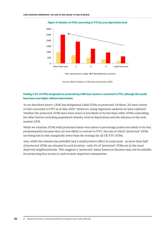

#### **Figure 11: Number of ATMs converting to PTU by area deprivation level**

■ Net conversions to date ■ If NoteMachine converts

Sources: Which? analysis of LINK data and Guardian (2019)

### **Finding 4: 8% of ATMs designated as protected by LINK have closed or converted to PTU, although this would have been even higher without intervention.**

As we described above, LINK has designated 2,660 ATMs as protected. Of these, 211 were closed or had converted to PTU as at May 2019.11 However, using regression analysis we have explored whether the protected ATMs have been more or less likely to be lost than other ATMs controlling for other factors including population density, level of deprivation and the distance to the next nearest ATM.

While we estimate ATMs with protected status were about 4 percentage points less likely to be lost, predominantly because they are less likely to convert to PTU, the rate at which 'protected' ATMs are being lost is only marginally lower than the average for all UK FTU ATMs.

Also, while the scheme has probably had a small positive effect in rural areas - as more than half of protected ATMs are situated in such location - only 6% of 'protected' ATMs are in the most deprived neighbourhoods. This suggests a 'protected' status based on distance may not be suitable for protecting free access to cash in more deprived communities.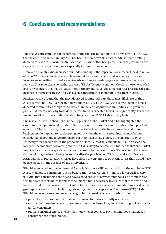# **6 Conclusions and recommendations**

The analysis presented in this report has found that the reduction in the provision of FTU ATMs that has occurred since January 2018 has been, to some extent, a natural adjustment to falling demand for cash for consumers transactions. Locations that had greater levels of provision have typically seen greater reductions, especially in some urban areas.

However, the analysis has increased our understanding of the impact on consumers of the diminution of the ATM network. Previous research has found that consumers in rural locations and on lower incomes are more likely to need access to cash and hence experience greater harm when access is reduced. This report has shown that the loss of FTU ATMs most commonly leads to the removal of all local provision and that this will cause more harm for individual consumers in rural areas because the distance to the next nearest ATM is, on average, three times as far in rural areas than in cities.

Further, we have found that the most deprived communities are those most likely to see their ATMs convert to PTU. Over the period we analysed, 979 FTU ATMs were converted in the most deprived communities compared to just 229 in the least deprived communities, and given the public statements made by NoteMachine this trend is expected to worsen significantly. For those making small withdrawals, the effective charge rates on PTU ATMs are very high.

The research has also shed light on the supply side of the market and it has highlighted the extent to which provision depends on the business decisions of a small number of independent operators. These firms are, of course, sensitive to the level of the interchange fee and these business models appear to reach tipping points where the returns from interchange fees are considered too low and large proportions of their ATM estate is closed or converted to PTU. Worryingly for consumers, as the proportion of local ATMs that converts to PTU increases, the foregone income from converting another ATM is likely to be smaller. This means that the market might work in such a way as to accelerate the loss of free access to cash. The research has shown that regulating the interchange fee to subsidise the provision of ATMs can make a difference. Although 8% of protected FTU ATMs have closed or converted to PTU, this is less than would have been expected in the absence of any intervention.

Which? acknowledges that as demand for cash falls there will be a reduction in the number of FTU ATMs available to consumers, but we believe that, as the UK transitions to a lower cash society, it is vital that consumers continue to have a good choice of payment methods, and for now cash remains part of that choice for most consumers. This is necessary to ensure that those who find it harder to make this transition do not suffer harm. Currently, this means maintaining a widespread geographic access to cash, including protecting the current spread of free-to-use (FTU) ATMs. Which? believes we need to protect a geographical spread of access to cash in order to:

- **•** prevent an increased risk of financial exclusion for those currently need cash;
- **•** ensure their remains access to a secure and reliable form of payment that can provide a 'backup' for consumers;
- **•** protect consumer choice and competition when it comes to payment methods that meet a consumer need or preference.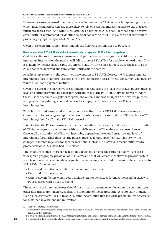However, we are concerned that the current reduction in the ATM network is happening in a way which means that those who are more likely to rely on cash will increasing have to pay or travel further to access cash. And while LINK's policy on protected ATMs has likely had some positive effect, with 8% of protected ATMs still closing or converting to PTU, it is clearly not sufficient to protect a geographical spread of FTU ATMs.

Given these concerns Which? recommends the following actions need to be taken:

### **Recommendation 1: The PSR should act immediately to regulate UK ATM interchange fees.**

Cash has a vital role for many consumers and yet there remains a significant risk that without immediate intervention the market will fail to protect FTU ATMs for people who need them. This is evident by the fact that, despite the efforts made by LINK since January 2018, the loss of FTU ATMs has seen deprived and rural communities hit the hardest.

As a first step, to prevent the continued acceleration of FTU ATM losses, the PSR must regulate interchange fees to support its stated aim of protecting cash access for UK consumers who need or want to use it as a payment method.

Given the state of the market we are confident that regulating the ATM withdrawal interchange fee level and structure would be consistent with all three of the PSR's statutory objectives.12 Indeed, the PSR is the economic regulator for payment systems and was set up with the express purpose and powers of regulating wholesale access fees in payment systems, such as ATM and other interchange fees.

We believe the risk associated with only one of the three major UK ATM networks having a commitment to protect geographical access to cash means it is essential that PSR regulates ATM interchange fees for all major UK ATM networks.

It is vital that the PSR recognises that there are significant economies of density in the distribution of ATMs, owing to costs associated with cash delivery and ATM maintenance costs, hence the overall distribution of ATMs will inevitably depend on the overall structure and level of interchange fees, rather than just the interchange fee for any specific ATM. This is why the changes in interchange fees for specific locations, such as LINK's various recent initiatives to protect certain ATMs, have had little effect.

The structure of such interchange fees should depend on objective criteria that will ensure a widespread geographic provision of FTU ATMs and that will create incentives to provide cash in remote or low income areas where a greater incentive may be needed to ensure sufficient access to FTU ATMs. These include:

- **•** Levels of deprivation or similar socio-economic measures
- **•** Rural and urban measures
- **•** Other relevant factors which could include retailer density, as for most the need for cash will be associated with a need to spend

The structure of interchange fees should not primarily depend on endogenous, discretionary, or other non-transparent factors, such as the proximity of the nearest other ATM or bank branch. Using such criteria will result in an ATM funding structure that lacks the predictability necessary for sustained investment and innovation.

2. to promote effective competition in the markets for payment systems and services - between operators, PSPs and infrastructure providers, and;

<sup>12</sup> The PSR's statutory objectives are:

<sup>1.</sup> to ensure that payment systems are operated and developed in a way that considers and promotes the interests of all the businesses and consumers that use them;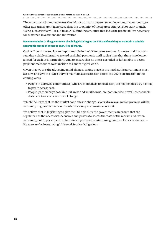The structure of interchange fees should not primarily depend on endogenous, discretionary, or other non-transparent factors, such as the proximity of the nearest other ATM or bank branch. Using such criteria will result in an ATM funding structure that lacks the predictability necessary for sustained investment and innovation.

# **Recommendation 2: The government should legislate to give the PSR a defined duty to maintain a suitable geographic spread of access to cash, free of charge.**

Cash will continue to play an important role in the UK for years to come. It is essential that cash remains a viable alternative to card or digital payments until such a time that there is no longer a need for cash. It is particularly vital to ensure that no one is excluded or left unable to access payment methods as we transition to a more digital world.

Given that we are already seeing rapid changes taking place in the market, the government must act now and give the PSR a duty to maintain access to cash across the UK to ensure that in the coming years:

- **•** People in deprived communities, who are more likely to need cash, are not penalised by having to pay to access cash.
- **•** People, particularly those in rural areas and small towns, are not forced to travel unreasonable distances to access cash free of charge.

Which? believes that, as the market continues to change, **a form of minimum service guarantee** will be necessary to guarantee access to cash for as long as consumers need it.

We believe that in legislating to give the PSR this duty the government can ensure that the regulator has the necessary incentives and powers to assess the state of the market and, when necessary, put in place the structures to support such a minimum guarantee for access to cash – if necessary by introducing Universal Service Obligations.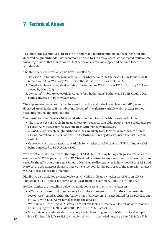# **7 Technical Annex**

To support the descriptive statistics in the report and to further understand whether rural and deprived neighbourhoods have been more affected by FTU ATM losses, we estimated multivariate linear regressions that aim to control for the various drivers of supply and demand for cash withdrawals.

The three dependent variables we have modelled are:

- 1. *Lost FTU* A binary categorical variable for whether an ATM that was FTU in January 2018 remains a FTU ATM in May 2019, ie whether it has been lost as a FTU ATM;
- 2. *Closed* A binary categorical variable for whether an ATM that was FTU in January 2018 was closed by May 2019;
- 3. *Converted* A binary categorical variable for whether an ATM that was FTU in January 2018 being converted to PTU by May 2019.

The explanatory variables of most interest in are those with the lowest levels of IMD (i.e. most deprived areas) in the *IMD* variable and the *Population density* variable which proxies for how rural different neighbourhoods are.

To control for other factors which could affect demand for cash withdrawals we included:

- **•** The *average age* of people in an area. Research suggests that older people have a preference for cash, so ATM losses may be lower in areas with higher average ages.
- **•** *Retail density* in each neighbourhood. ATMs are likely to be located in areas where there is a lot of footfall and clusters of retail units. Ordnance Survey data was used to construct this variable.
- **•** *Converted* A binary categorical variable for whether an ATM that was FTU in January 2018 being converted to PTU by May 2019.

We have also tried to control for the supply of ATMs by including binary categorical variables for each of the 31 ATM operators in the UK. This should control for any variation in business decisions taken by the ATM operators since January 2018. Due to discrepancies in how the ATMs of RBS and NatWest are coded across datasets that we have merged, for the purposes of the regression analysis we treat these as the same operator.

Finally, we also included a variable *(Protected)* which indicates whether an ATM is on LINK's Protected list. Full details of the variables used are in the Summary Table are in Table A.1

Before running the modelling below, we made some adjustments to the dataset:

- **•** ATMs which closed and then reopened with the same operator and in the same postcode sector were treated as either the 'same' or as a 'conversion'. This accounted for 2,854 ATMs out of 72,919, with 1,427 ATMs removed from the dataset
- **•** We removed 31 'Testing' ATMs which are not available at street level. 155 ATMs were removed after merging with LINK's (May 2019) Protected ATM Dataset
- **•** Since data on population density is only available for England and Wales, our total sample is 62,371. But this falls to 55,811 when *Retail density* is included because 6,560 ATMs (6,372 in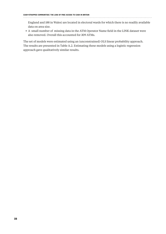England and 188 in Wales) are located in electoral wards for which there is no readily available data on area size.

**•** A small number of missing data in the ATM Operator Name field in the LINK dataset were also removed. Overall this accounted for 309 ATMs.

The set of models were estimated using an (unconstrained) OLS linear probability approach. The results are presented in Table A.2. Estimating these models using a logistic regression approach gave qualitatively similar results.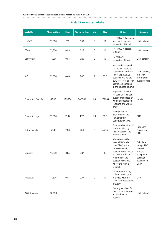#### **Table A.1: summary statistics**

| <b>Variable</b>           | <b>Observations</b> | <b>Mean</b> | <b>Std deviation</b> | <b>Min</b>  | <b>Max</b> | <b>Notes</b>                                                                                                                                                                                              | <b>Sources</b>                                                                                   |
|---------------------------|---------------------|-------------|----------------------|-------------|------------|-----------------------------------------------------------------------------------------------------------------------------------------------------------------------------------------------------------|--------------------------------------------------------------------------------------------------|
| Lost FTU                  | 71,306              | 0.12        | 0.33                 | $\mathbf 0$ | 1.0        | $1 = FTU ATM has been$<br>lost due to closure/<br>conversion, 0 if not                                                                                                                                    | LINK dataset                                                                                     |
| Closed                    | 71,306              | 0.08        | 0.27                 | 0           | 1.0        | 1 = FTU ATM closed,<br>0 if not                                                                                                                                                                           | LINK dataset                                                                                     |
| Converted                 | 71,306              | 0.04        | 0.20                 | $\mathbf 0$ | 1.0        | $1 = FTUATM$<br>converted, 0 if not                                                                                                                                                                       | <b>LINK</b> dataset                                                                              |
| <b>IMD</b>                | 71,306              | 4.40        | 2.67                 | 1           | 10.0       | IMD bands assigned<br>1 if the IMD score is<br>between 0% and 10%<br>(most deprived), 2 if<br>between 10.01% and<br>20% etc. More on IMD<br>scores can be found<br>in the sources column                  | LINK dataset,<br>and IMD<br>information<br>available here                                        |
| <b>Population Density</b> | 62,371              | 1,899.14    | 6,429.85             | 59          | 127,654.0  | Population density<br>for each 2011 census<br>output area based on<br>workday population<br>(England and Wales<br>only)                                                                                   | <b>Nomis</b>                                                                                     |
| Population age            | 71,306              | 39.44       | 4.72                 | 26          | 52.0       | Average age in<br>each area (at the<br>Parliamentary<br>Constituency level)                                                                                                                               | <b>ONS</b>                                                                                       |
| Retail density            | 55,811              | 2.66        | 7.59                 | $\mathbf 0$ | 550.5      | Total number of retail<br>stores divided by<br>the area size of the<br>electoral ward                                                                                                                     | Ordnance<br>Survey and<br>ONS                                                                    |
| Distance                  | 71,300              | 0.35        | 0.87                 | 0           | 38.9       | Kilometres to the<br>next ATM ('as the<br>crow flies') in the<br>same (two digit)<br>postcode area. Based<br>on the latitude and<br>longitude of the<br>postcode centroid<br>where the ATM is<br>located. | Calculated<br>using LINK's<br>dataset<br>and the<br>geosphere<br>package<br>available in<br>CRAN |
| Protected                 | 71,306              | 0.04        | 0.19                 | $\mathbf 0$ | $1.0\,$    | 1 = Protected ATM,<br>0 if not. 97% (2,574)<br>matched with the<br>LINK ATM dataset out<br>of 2,660                                                                                                       | LINK                                                                                             |
| <b>ATM Operator</b>       | 70,999              |             |                      |             |            | Dummy variables for<br>the 31 ATM operators<br>across the ATM<br>network                                                                                                                                  | LINK dataset                                                                                     |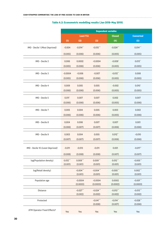|                                  | <b>Dependent variable:</b> |                 |             |               |                  |  |  |
|----------------------------------|----------------------------|-----------------|-------------|---------------|------------------|--|--|
|                                  |                            | <b>Lost FTU</b> |             | <b>Closed</b> | <b>Converted</b> |  |  |
|                                  | (1)                        | (2)             | (3)         | (4)           | (5)              |  |  |
| IMD - Decile 1 (Most Deprived)   | $-0.004$                   | $-0.014$ **     | $-0.015***$ | $-0.024***$   | $0.014***$       |  |  |
|                                  | (0.005)                    | (0.006)         | (0.006)     | (0.005)       | (0.005)          |  |  |
| IMD - Decile 2                   | 0.006                      | 0.0002          | $-0.0004$   | $-0.009$ *    | $0.013$ **       |  |  |
|                                  | (0.005)                    | (0.006)         | (0.006)     | (0.005)       | (0.005)          |  |  |
| IMD - Decile 3                   | $-0.0004$                  | $-0.006$        | $-0.007$    | $-0.012$ **   | 0.008            |  |  |
|                                  | (0.005)                    | (0.006)         | (0.006)     | (0.005)       | (0.005)          |  |  |
| IMD - Decile 4                   | 0.009                      | 0.005           | 0.005       | $-0.002$      | $0.010^*$        |  |  |
|                                  | (0.006)                    | (0.006)         | (0.006)     | (0.005)       | (0.005)          |  |  |
| IMD - Decile 5                   | 0.011                      | 0.007           | 0.007       | 0.002         | 0.007            |  |  |
|                                  | (0.006)                    | (0.006)         | (0.006)     | (0.005)       | (0.006)          |  |  |
| IMD - Decile 7                   | 0.005                      | 0.004           | 0.005       | 0.003         | 0.003            |  |  |
|                                  | (0.006)                    | (0.006)         | (0.006)     | (0.005)       | (0.006)          |  |  |
| IMD - Decile 8                   | 0.004                      | 0.006           | 0.007       | 0.007         | 0.001            |  |  |
|                                  | (0.006)                    | (0.007)         | (0.007)     | (0.006)       | (0.006)          |  |  |
|                                  |                            |                 |             |               |                  |  |  |
| IMD - Decile 9                   | 0.003                      | 0.004           | 0.005       | $0.012$ **    | $-0.010$         |  |  |
|                                  | (0.007)                    | (0.007)         | (0.007)     | (0.006)       | (0.006)          |  |  |
| IMD - Decile 10 (Least Deprived) | $-0.011$                   | $-0.013$        | $-0.011$    | 0.001         | $-0.017**$       |  |  |
|                                  | (0.008)                    | (0.008)         | (0.008)     | (0.007)       | (0.007)          |  |  |
| log(Population density)          | $0.012***$                 | $0.009***$      | $0.009***$  | $0.012***$    | $-0.005***$      |  |  |
|                                  | (0.001)                    | (0.001)         | (0.001)     | (0.001)       | (0.001)          |  |  |
| log(Retail density)              |                            | $-0.004***$     | $-0.004***$ | $-0.005***$   | $0.002***$       |  |  |
|                                  |                            | (0.001)         | (0.001)     | (0.001)       | (0.001)          |  |  |
| Population age                   |                            | $-0.0004$       | $-0.0004$   | 0.0002        | $-0.001***$      |  |  |
|                                  |                            | (0.0003)        | (0.0003)    | (0.0002)      | (0.0003)         |  |  |
| Distance                         |                            | $-0.027***$     | $-0.024***$ | $-0.013***$   | $-0.013***$      |  |  |
|                                  |                            | (0.002)         | (0.002)     | (0.002)       | (0.002)          |  |  |
| Protected                        |                            |                 | $-0.041***$ | $-0.014**$    | $-0.028***$      |  |  |
|                                  |                            |                 | (0.008)     | (0.007)       | (0.006)          |  |  |
| ATM Operator Fixed Effects?      | Yes                        | Yes             | Yes         | Yes           | Yes              |  |  |

#### **Table A.2: Econometric modelling results (Jan 2018–May 2019)**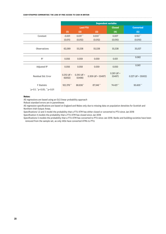|                           | <b>Dependent variable:</b> |                         |                      |                         |                      |  |  |
|---------------------------|----------------------------|-------------------------|----------------------|-------------------------|----------------------|--|--|
|                           | <b>Lost FTU</b>            |                         |                      | <b>Closed</b>           | <b>Converted</b>     |  |  |
|                           | (1)                        | (2)                     | (3)                  | (4)                     | (5)                  |  |  |
| Constant                  | $-0.001$                   | $0.031***$              | $0.033***$           | 0.007                   | $0.153***$           |  |  |
|                           | (0.011)                    | (0.012)                 | (0.012)              | (0.010)                 | (0.010)              |  |  |
|                           |                            |                         |                      |                         |                      |  |  |
| <b>Observations</b>       | 62,089                     | 55,538                  | 55,538               | 55,538                  | 35,027               |  |  |
|                           |                            |                         |                      |                         |                      |  |  |
| $R^2$                     | 0.056                      | 0.059                   | 0.059                | 0.051                   | 0.062                |  |  |
|                           |                            |                         |                      |                         |                      |  |  |
| Adjusted $R^2$            | 0.056                      | 0.058                   | 0.059                | 0.050                   | 0.061                |  |  |
| Residual Std. Error       | $0.312$ (df =<br>62052)    | $0.310$ (df =<br>55498) | $0.309$ (df = 55497) | $0.261$ (df =<br>55497) | $0.227$ (df = 35002) |  |  |
| <b>F</b> Statistic        | 102.376***                 | 88.836**                | 87.346***            | 74.421***               | 95.605***            |  |  |
| "p<0.1; "p<0.05; "p<0.01" |                            |                         |                      |                         |                      |  |  |

#### **Notes:**

All regressions are based using an OLS linear probability approach

Robust standard errors are in parentheses

All regression specifications are based on England and Wales only due to missing data on population densities for Scottish and Northern Irish Output Areas.

Specifications 1,2 and 3 model the probability that a FTU ATM has either closed or converted to PTU since Jan 2018

Specification 4 models the probability that a FTU ATM has closed since Jan 2018

Specifications 5 models the probability that a FTU ATM has converted to PTU since Jan 2018. Banks and building societies have been removed from the sample set, as only IADs have converted ATMs to PTU.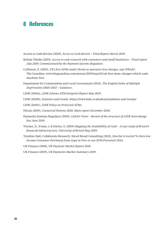# **8 References**

Access to Cash Review (2019), *Access to Cash Review – Final Report March 2019*.

- Britain Thinks (2019), *Access to cash research with consumers and small businesses Final report July 2019, Commissioned by the Payment Systems Regulator*.
- Collinson, P. (2019), *UK's free ATMs under threat as operators levy charges, says Which?*, The Guardian, [www.theguardian.com/money/2019/may/01/uk-free-atms-charges-which-cash](https://www.theguardian.com/money/2019/may/01/uk-free-atms-charges-which-cash-machine-fees)[machine-fees](https://www.theguardian.com/money/2019/may/01/uk-free-atms-charges-which-cash-machine-fees)
- Department for Communities and Local Government (2015), *The English Index of Multiple Deprivation (IMD) 2015 – Guidance*.
- LINK (2019a), *LINK Scheme ATM Footprint Report May 2019*.
- LINK (2019b), *Statistics and trends*, <https://www.link.co.uk/about/statistics-and-trends/>
- LINK (2019c), *LINK Policy on Protected ATMs*.
- Ofcom (2019), *Connected Nations 2018: Main report December 2018*.
- Payments Systems Regulator (2019), *Call for Views Review of the structure of LINK interchange fees June 2019.*
- Tischer, D., Evans, J. & Davies, S. (2019) *Mapping the Availability of Cash A case study of Bristol's financial infrastructure, University of Bristol May 2019.*
- Toynbee Hall, Collaborate Research, Sliced Bread Consulting (2015), *How far is too far? Is there low Income Consumer Detriment from Gaps in Free-to-use ATM Provision? 2015.*
- UK Finance (2018), *UK Payment Market Report 2018*.

UK Finance (2019), *UK Payments Market Summary 2019*.